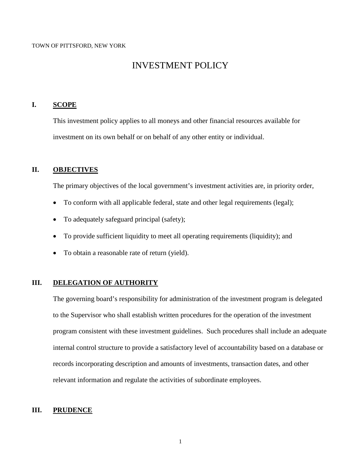# INVESTMENT POLICY

#### **I. SCOPE**

This investment policy applies to all moneys and other financial resources available for investment on its own behalf or on behalf of any other entity or individual.

#### **II. OBJECTIVES**

The primary objectives of the local government's investment activities are, in priority order,

- To conform with all applicable federal, state and other legal requirements (legal);
- To adequately safeguard principal (safety);
- To provide sufficient liquidity to meet all operating requirements (liquidity); and
- To obtain a reasonable rate of return (yield).

#### **III. DELEGATION OF AUTHORITY**

The governing board's responsibility for administration of the investment program is delegated to the Supervisor who shall establish written procedures for the operation of the investment program consistent with these investment guidelines. Such procedures shall include an adequate internal control structure to provide a satisfactory level of accountability based on a database or records incorporating description and amounts of investments, transaction dates, and other relevant information and regulate the activities of subordinate employees.

#### **III. PRUDENCE**

1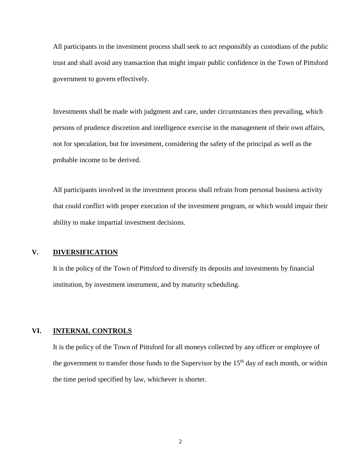All participants in the investment process shall seek to act responsibly as custodians of the public trust and shall avoid any transaction that might impair public confidence in the Town of Pittsford government to govern effectively.

Investments shall be made with judgment and care, under circumstances then prevailing, which persons of prudence discretion and intelligence exercise in the management of their own affairs, not for speculation, but for investment, considering the safety of the principal as well as the probable income to be derived.

All participants involved in the investment process shall refrain from personal business activity that could conflict with proper execution of the investment program, or which would impair their ability to make impartial investment decisions.

## **V. DIVERSIFICATION**

It is the policy of the Town of Pittsford to diversify its deposits and investments by financial institution, by investment instrument, and by maturity scheduling.

#### **VI. INTERNAL CONTROLS**

It is the policy of the Town of Pittsford for all moneys collected by any officer or employee of the government to transfer those funds to the Supervisor by the  $15<sup>th</sup>$  day of each month, or within the time period specified by law, whichever is shorter.

2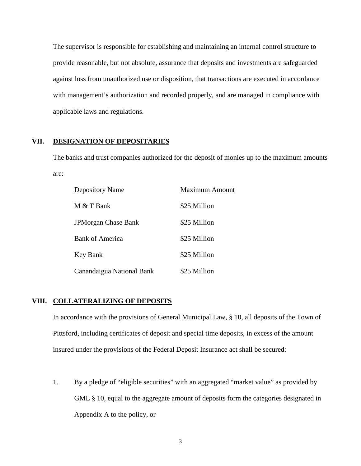The supervisor is responsible for establishing and maintaining an internal control structure to provide reasonable, but not absolute, assurance that deposits and investments are safeguarded against loss from unauthorized use or disposition, that transactions are executed in accordance with management's authorization and recorded properly, and are managed in compliance with applicable laws and regulations.

#### **VII. DESIGNATION OF DEPOSITARIES**

The banks and trust companies authorized for the deposit of monies up to the maximum amounts are:

| <b>Depository Name</b>     | <b>Maximum Amount</b> |
|----------------------------|-----------------------|
| M & T Bank                 | \$25 Million          |
| <b>JPMorgan Chase Bank</b> | \$25 Million          |
| <b>Bank of America</b>     | \$25 Million          |
| Key Bank                   | \$25 Million          |
| Canandaigua National Bank  | \$25 Million          |

## **VIII. COLLATERALIZING OF DEPOSITS**

In accordance with the provisions of General Municipal Law, § 10, all deposits of the Town of Pittsford, including certificates of deposit and special time deposits, in excess of the amount insured under the provisions of the Federal Deposit Insurance act shall be secured:

1. By a pledge of "eligible securities" with an aggregated "market value" as provided by GML § 10, equal to the aggregate amount of deposits form the categories designated in Appendix A to the policy, or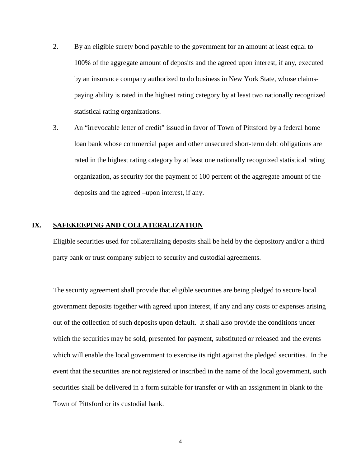- 2. By an eligible surety bond payable to the government for an amount at least equal to 100% of the aggregate amount of deposits and the agreed upon interest, if any, executed by an insurance company authorized to do business in New York State, whose claimspaying ability is rated in the highest rating category by at least two nationally recognized statistical rating organizations.
- 3. An "irrevocable letter of credit" issued in favor of Town of Pittsford by a federal home loan bank whose commercial paper and other unsecured short-term debt obligations are rated in the highest rating category by at least one nationally recognized statistical rating organization, as security for the payment of 100 percent of the aggregate amount of the deposits and the agreed –upon interest, if any.

#### **IX. SAFEKEEPING AND COLLATERALIZATION**

Eligible securities used for collateralizing deposits shall be held by the depository and/or a third party bank or trust company subject to security and custodial agreements.

The security agreement shall provide that eligible securities are being pledged to secure local government deposits together with agreed upon interest, if any and any costs or expenses arising out of the collection of such deposits upon default. It shall also provide the conditions under which the securities may be sold, presented for payment, substituted or released and the events which will enable the local government to exercise its right against the pledged securities. In the event that the securities are not registered or inscribed in the name of the local government, such securities shall be delivered in a form suitable for transfer or with an assignment in blank to the Town of Pittsford or its custodial bank.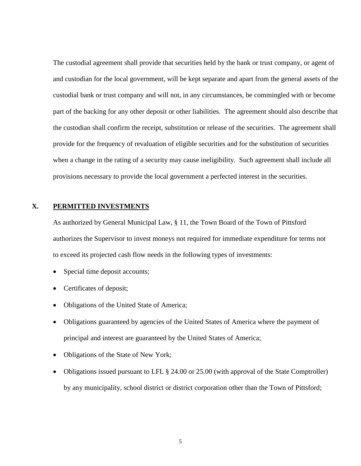The custodial agreement shall provide that securities held by the bank or trust company, or agent of and custodian for the local government, will be kept separate and apart from the general assets of the custodial bank or trust company and will not, in any circumstances, be commingled with or become part of the backing for any other deposit or other liabilities. The agreement should also describe that the custodian shall confirm the receipt, substitution or release of the securities. The agreement shall provide for the frequency of revaluation of eligible securities and for the substitution of securities when a change in the rating of a security may cause ineligibility. Such agreement shall include all provisions necessary to provide the local government a perfected interest in the securities.

#### **X. PERMITTED INVESTMENTS**

As authorized by General Municipal Law, § 11, the Town Board of the Town of Pittsford authorizes the Supervisor to invest moneys not required for immediate expenditure for terms not to exceed its projected cash flow needs in the following types of investments:

- Special time deposit accounts;
- Certificates of deposit;
- Obligations of the United State of America;
- Obligations guaranteed by agencies of the United States of America where the payment of principal and interest are guaranteed by the United States of America;
- Obligations of the State of New York;
- Obligations issued pursuant to LFL § 24.00 or 25.00 (with approval of the State Comptroller) by any municipality, school district or district corporation other than the Town of Pittsford;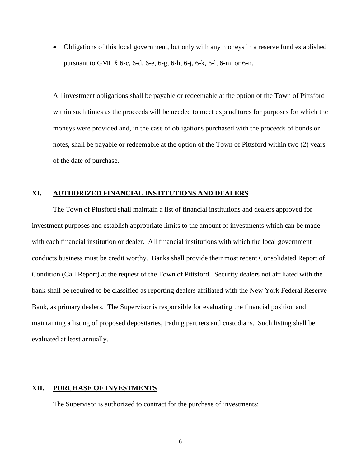• Obligations of this local government, but only with any moneys in a reserve fund established pursuant to GML § 6-c, 6-d, 6-e, 6-g, 6-h, 6-j, 6-k, 6-l, 6-m, or 6-n.

All investment obligations shall be payable or redeemable at the option of the Town of Pittsford within such times as the proceeds will be needed to meet expenditures for purposes for which the moneys were provided and, in the case of obligations purchased with the proceeds of bonds or notes, shall be payable or redeemable at the option of the Town of Pittsford within two (2) years of the date of purchase.

#### **XI. AUTHORIZED FINANCIAL INSTITUTIONS AND DEALERS**

The Town of Pittsford shall maintain a list of financial institutions and dealers approved for investment purposes and establish appropriate limits to the amount of investments which can be made with each financial institution or dealer. All financial institutions with which the local government conducts business must be credit worthy. Banks shall provide their most recent Consolidated Report of Condition (Call Report) at the request of the Town of Pittsford. Security dealers not affiliated with the bank shall be required to be classified as reporting dealers affiliated with the New York Federal Reserve Bank, as primary dealers. The Supervisor is responsible for evaluating the financial position and maintaining a listing of proposed depositaries, trading partners and custodians. Such listing shall be evaluated at least annually.

## **XII. PURCHASE OF INVESTMENTS**

The Supervisor is authorized to contract for the purchase of investments: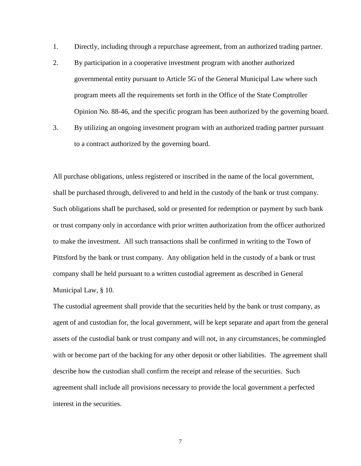- 1. Directly, including through a repurchase agreement, from an authorized trading partner.
- 2. By participation in a cooperative investment program with another authorized governmental entity pursuant to Article 5G of the General Municipal Law where such program meets all the requirements set forth in the Office of the State Comptroller Opinion No. 88-46, and the specific program has been authorized by the governing board.
- 3. By utilizing an ongoing investment program with an authorized trading partner pursuant to a contract authorized by the governing board.

All purchase obligations, unless registered or inscribed in the name of the local government, shall be purchased through, delivered to and held in the custody of the bank or trust company. Such obligations shall be purchased, sold or presented for redemption or payment by such bank or trust company only in accordance with prior written authorization from the officer authorized to make the investment. All such transactions shall be confirmed in writing to the Town of Pittsford by the bank or trust company. Any obligation held in the custody of a bank or trust company shall be held pursuant to a written custodial agreement as described in General Municipal Law, § 10.

The custodial agreement shall provide that the securities held by the bank or trust company, as agent of and custodian for, the local government, will be kept separate and apart from the general assets of the custodial bank or trust company and will not, in any circumstances, be commingled with or become part of the backing for any other deposit or other liabilities. The agreement shall describe how the custodian shall confirm the receipt and release of the securities. Such agreement shall include all provisions necessary to provide the local government a perfected interest in the securities.

7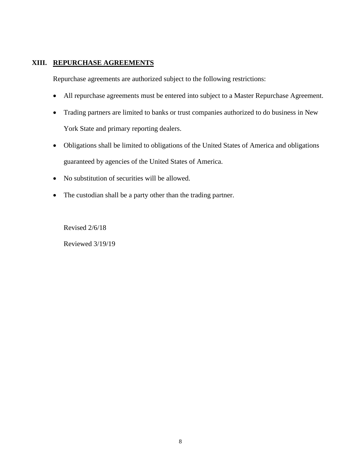## **XIII. REPURCHASE AGREEMENTS**

Repurchase agreements are authorized subject to the following restrictions:

- All repurchase agreements must be entered into subject to a Master Repurchase Agreement.
- Trading partners are limited to banks or trust companies authorized to do business in New York State and primary reporting dealers.
- Obligations shall be limited to obligations of the United States of America and obligations guaranteed by agencies of the United States of America.
- No substitution of securities will be allowed.
- The custodian shall be a party other than the trading partner.

Revised 2/6/18 Reviewed 3/19/19